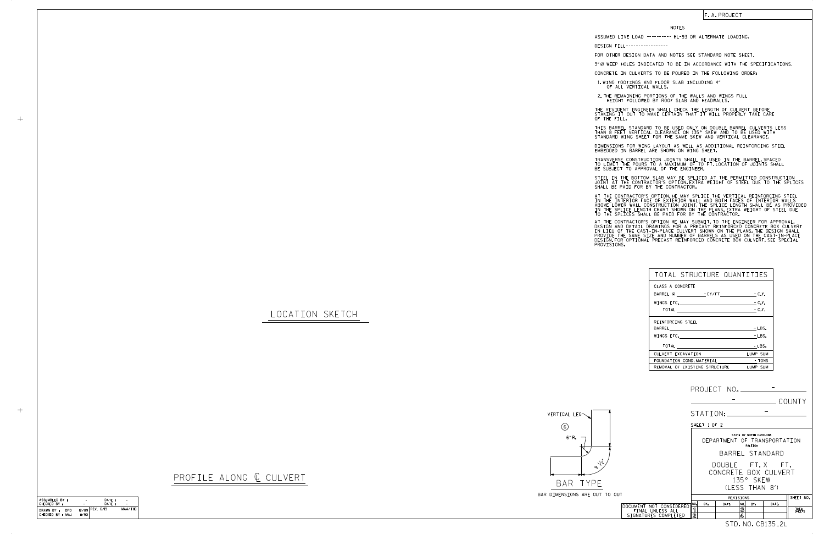LOCATION SKETCH

 $+$ 

 $+$ 



## PROFILE ALONG  $C$  CULVERT

| TOTAL STRUCTURE QUANTITIES    |          |
|-------------------------------|----------|
| CLASS A CONCRETE              |          |
| BARREL @ - CY/FT - C.Y.       |          |
| WINGS ETC. $-C.Y.$            |          |
| TOTAL - C.Y.                  |          |
| REINFORCING STEEL             |          |
| BARREL                        | $-LBS.$  |
| WINGS ETC.                    | - LBS.   |
|                               | $-LBS.$  |
| CULVERT EXCAVATION            | LUMP SUM |
| FOUNDATION COND. MATERIAL     | TONS -   |
| REMOVAL OF EXISTING STRUCTURE | LUMP SUM |

## F. A. PROJECT

## NOTES

DESIGN FILL-----------------

STEEL IN THE BOTTOM SLAB MAY BE SPLICED AT THE PERMITTED CONSTRUCTION JOINT AT THE CONTRACTOR'S OPTION.EXTRA WEIGHT OF STEEL DUE TO THE SPLICES<br>SHALL BE PAID FOR BY THE CONTRACTOR.

FOR OTHER DESIGN DATA AND NOTES SEE STANDARD NOTE SHEET.

3" Ø WEEP HOLES INDICATED TO BE IN ACCORDANCE WITH THE SPECIFICATIONS.

CONCRETE IN CULVERTS TO BE POURED IN THE FOLLOWING ORDER:

1.WING FOOTINGS AND FLOOR SLAB INCLUDING 4"<br>OF ALL VERTICAL WALLS.

2.THE REMAINING PORTIONS OF THE WALLS AND WINGS FULL<br>HEIGHT FOLLOWED BY ROOF SLAB AND HEADWALLS.

THE RESIDENT ENGINEER SHALL CHECK THE LENGTH OF CULVERT BEFORE<br>STAKING IT OUT TO MAKE CERTAIN THAT IT WILL PROPERLY TAKE CARE<br>OF THE FILL.

IN THE INTERIOR FACE OF EXTERIOR WALL AND BOTH FACES OF INTERIOR WALLS<br>ABOVE LOWER WALL CONSTRUCTION JOINT.THE SPLICE LENGTH SHALL BE AS PROVIDED<br>IN THE SPLICE LENGTH CHART SHOWN ON THE PLANS.EXTRA WEIGHT OF STEEL DUE<br>TO T AT THE CONTRACTOR'S OPTION, HE MAY SPLICE THE VERTICAL REINFORCING STEEL

AT THE CONTRACTOR'S OPTION HE MAY SUBMIT, TO THE ENGINEER FOR APPROVAL,<br>DESIGN AND DETAIL DRAWINGS FOR A PRECAST REINFORCED CONCRETE BOX CULVERT<br>IN LIEU OF THE CAST-IN-PLACE CULVERT SHOWN ON THE PLANS.THE DESIGN SHALL<br>PROV

STANDARD WING SHEET FOR THE SAME SKEW AND VERTICAL CLEARANCE. THIS BARREL STANDARD TO BE USED ONLY ON DOUBLE BARREL CULVERTS LESS THAN 8 FEET VERTICAL CLEARANCE ON 135° SKEW AND TO BE USED WITH

DIMENSIONS FOR WING LAYOUT AS WELL AS ADDITIONAL REINFORCING STEEL<br>EMBEDDED IN BARREL ARE SHOWN ON WING SHEET.

TRANSVERSE CONSTRUCTION JOINTS SHALL BE USED IN THE BARREL,SPACED<br>TO LIMIT THE POURS TO A MAXIMUM OF 70 FT.LOCATION OF JOINTS SHALL<br>BE SUBJECT TO APPROVAL OF THE ENGINEER.

ASSUMED LIVE LOAD ---------- HL-93 OR ALTERNATE LOADING.

DATE : DATE :

CHECKED BY : ASSEMBLED BY :

|       |                                          |                                                                                       |                        |          |                              |     |                 | COUNTY          |  |  |
|-------|------------------------------------------|---------------------------------------------------------------------------------------|------------------------|----------|------------------------------|-----|-----------------|-----------------|--|--|
|       |                                          |                                                                                       |                        | STATION: |                              |     |                 |                 |  |  |
|       |                                          | SHEET 1 OF 2                                                                          |                        |          |                              |     |                 |                 |  |  |
|       |                                          | STATE OF NORTH CAROLINA<br>DEPARTMENT OF TRANSPORTATION<br>RALEIGH<br>BARREL STANDARD |                        |          |                              |     |                 |                 |  |  |
|       |                                          | DOUBLE FT.X FT.<br>CONCRETE BOX CULVERT<br>135° SKEW<br>(1 FSS THAN 8')               |                        |          |                              |     |                 |                 |  |  |
| D OUT |                                          |                                                                                       | SHEET NO.<br>REVISIONS |          |                              |     |                 |                 |  |  |
|       | DOCUMENT NOT CONSIDERED                  | NO.                                                                                   | BY:                    | DATE:    | NO.                          | RY: | DATE:           |                 |  |  |
|       | FINAL UNLESS ALL<br>SIGNATURES COMPLETED | ขี<br>$\overline{2}$                                                                  |                        |          | $\overline{\mathbf{3}}$<br>4 |     |                 | TOTAL<br>SHEETS |  |  |
|       |                                          |                                                                                       |                        |          |                              |     | STD.NO.CB135_2L |                 |  |  |

CHECKED BY : MAJ DRAWN BY : DPD 12/89 11/90

REV. 6/19 - -

–−<br>MAA/THC

-